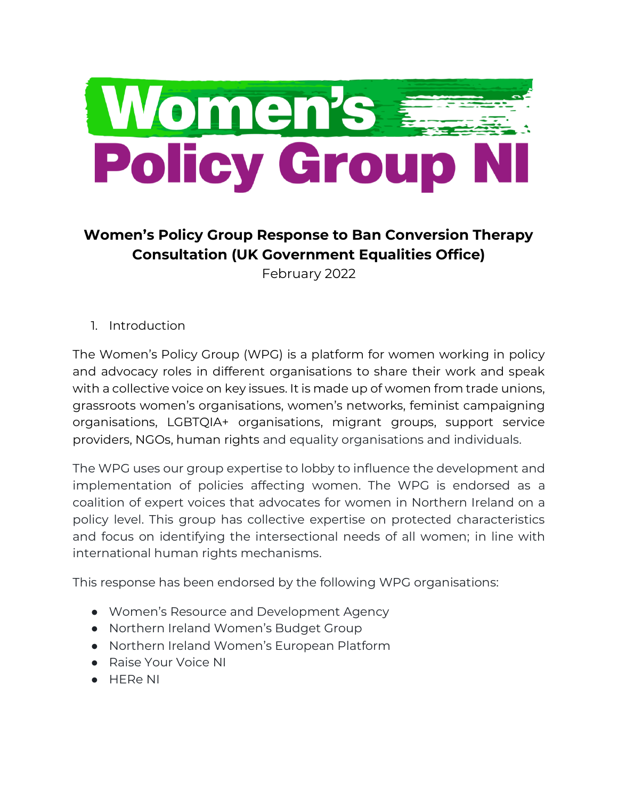

# **Women's Policy Group Response to Ban Conversion Therapy Consultation (UK Government Equalities Office)**

February 2022

1. Introduction

The Women's Policy Group (WPG) is a platform for women working in policy and advocacy roles in different organisations to share their work and speak with a collective voice on key issues. It is made up of women from trade unions, grassroots women's organisations, women's networks, feminist campaigning organisations, LGBTQIA+ organisations, migrant groups, support service providers, NGOs, human rights and equality organisations and individuals.

The WPG uses our group expertise to lobby to influence the development and implementation of policies affecting women. The WPG is endorsed as a coalition of expert voices that advocates for women in Northern Ireland on a policy level. This group has collective expertise on protected characteristics and focus on identifying the intersectional needs of all women; in line with international human rights mechanisms.

This response has been endorsed by the following WPG organisations:

- Women's Resource and Development Agency
- Northern Ireland Women's Budget Group
- Northern Ireland Women's European Platform
- Raise Your Voice NI
- HERe NI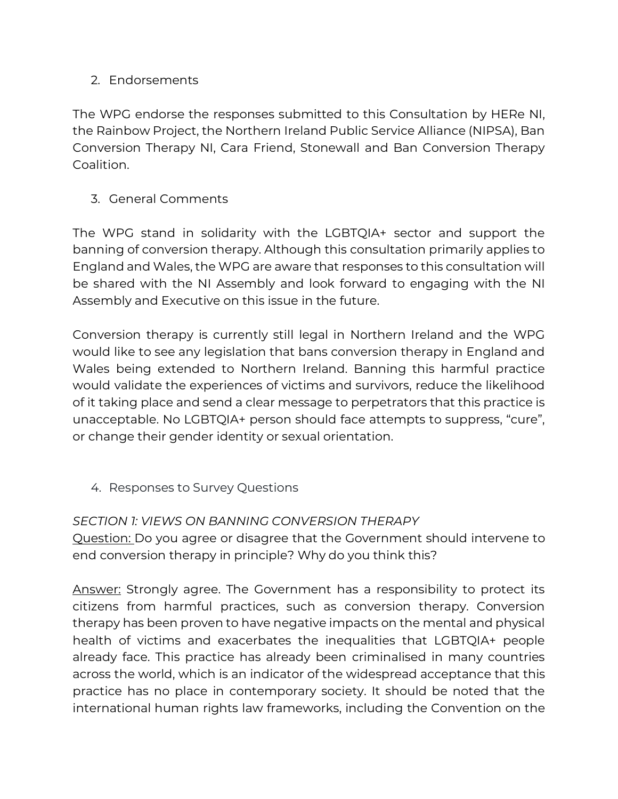#### 2. Endorsements

The WPG endorse the responses submitted to this Consultation by HERe NI, the Rainbow Project, the Northern Ireland Public Service Alliance (NIPSA), Ban Conversion Therapy NI, Cara Friend, Stonewall and Ban Conversion Therapy Coalition.

### 3. General Comments

The WPG stand in solidarity with the LGBTQIA+ sector and support the banning of conversion therapy. Although this consultation primarily applies to England and Wales, the WPG are aware that responses to this consultation will be shared with the NI Assembly and look forward to engaging with the NI Assembly and Executive on this issue in the future.

Conversion therapy is currently still legal in Northern Ireland and the WPG would like to see any legislation that bans conversion therapy in England and Wales being extended to Northern Ireland. Banning this harmful practice would validate the experiences of victims and survivors, reduce the likelihood of it taking place and send a clear message to perpetrators that this practice is unacceptable. No LGBTQIA+ person should face attempts to suppress, "cure", or change their gender identity or sexual orientation.

4. Responses to Survey Questions

## *SECTION 1: VIEWS ON BANNING CONVERSION THERAPY*

Question: Do you agree or disagree that the Government should intervene to end conversion therapy in principle? Why do you think this?

Answer: Strongly agree. The Government has a responsibility to protect its citizens from harmful practices, such as conversion therapy. Conversion therapy has been proven to have negative impacts on the mental and physical health of victims and exacerbates the inequalities that LGBTQIA+ people already face. This practice has already been criminalised in many countries across the world, which is an indicator of the widespread acceptance that this practice has no place in contemporary society. It should be noted that the international human rights law frameworks, including the Convention on the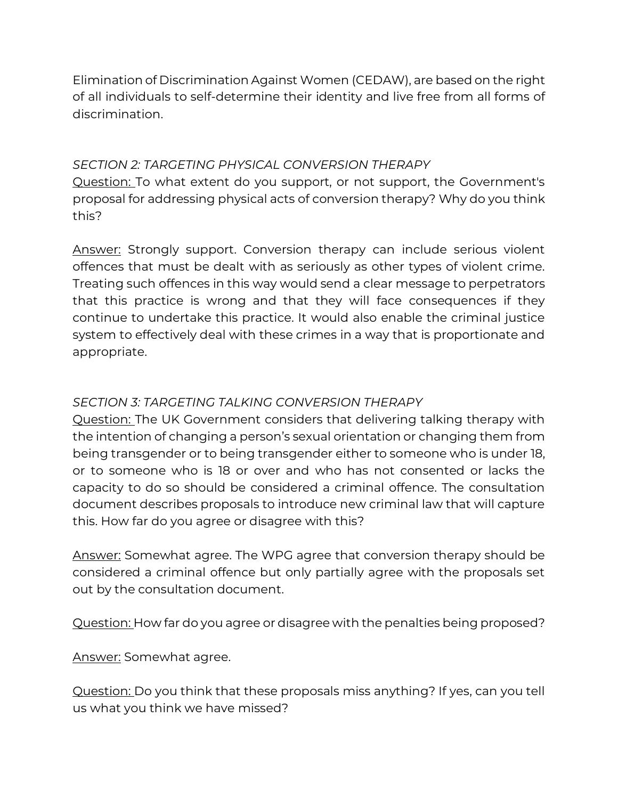Elimination of Discrimination Against Women (CEDAW), are based on the right of all individuals to self-determine their identity and live free from all forms of discrimination.

#### *SECTION 2: TARGETING PHYSICAL CONVERSION THERAPY*

Question: To what extent do you support, or not support, the Government's proposal for addressing physical acts of conversion therapy? Why do you think this?

Answer: Strongly support. Conversion therapy can include serious violent offences that must be dealt with as seriously as other types of violent crime. Treating such offences in this way would send a clear message to perpetrators that this practice is wrong and that they will face consequences if they continue to undertake this practice. It would also enable the criminal justice system to effectively deal with these crimes in a way that is proportionate and appropriate.

#### *SECTION 3: TARGETING TALKING CONVERSION THERAPY*

Question: The UK Government considers that delivering talking therapy with the intention of changing a person's sexual orientation or changing them from being transgender or to being transgender either to someone who is under 18, or to someone who is 18 or over and who has not consented or lacks the capacity to do so should be considered a criminal offence. The consultation document describes proposals to introduce new criminal law that will capture this. How far do you agree or disagree with this?

Answer: Somewhat agree. The WPG agree that conversion therapy should be considered a criminal offence but only partially agree with the proposals set out by the consultation document.

Question: How far do you agree or disagree with the penalties being proposed?

Answer: Somewhat agree.

Question: Do you think that these proposals miss anything? If yes, can you tell us what you think we have missed?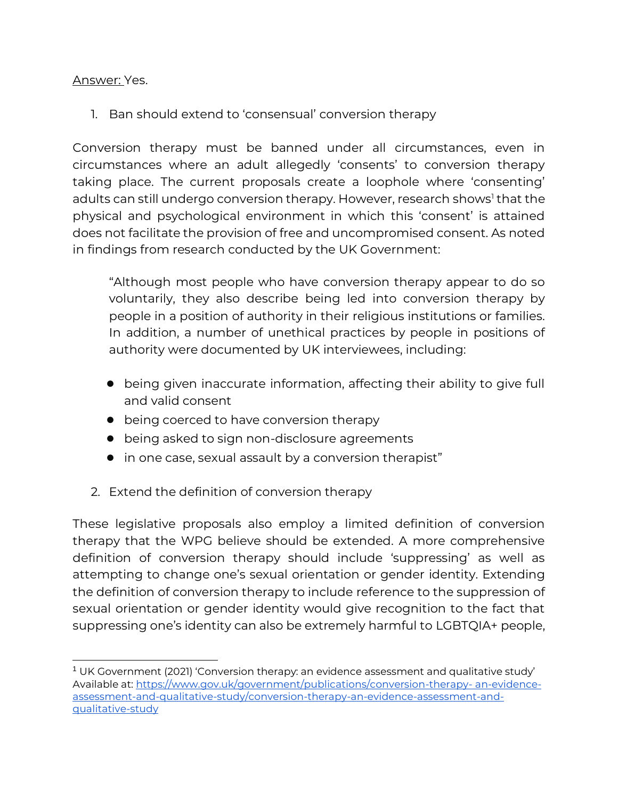#### Answer: Yes.

1. Ban should extend to 'consensual' conversion therapy

Conversion therapy must be banned under all circumstances, even in circumstances where an adult allegedly 'consents' to conversion therapy taking place. The current proposals create a loophole where 'consenting' adults can still undergo conversion therapy. However, research shows<sup>1</sup> that the physical and psychological environment in which this 'consent' is attained does not facilitate the provision of free and uncompromised consent. As noted in findings from research conducted by the UK Government:

"Although most people who have conversion therapy appear to do so voluntarily, they also describe being led into conversion therapy by people in a position of authority in their religious institutions or families. In addition, a number of unethical practices by people in positions of authority were documented by UK interviewees, including:

- being given inaccurate information, affecting their ability to give full and valid consent
- being coerced to have conversion therapy
- being asked to sign non-disclosure agreements
- in one case, sexual assault by a conversion therapist"
- 2. Extend the definition of conversion therapy

These legislative proposals also employ a limited definition of conversion therapy that the WPG believe should be extended. A more comprehensive definition of conversion therapy should include 'suppressing' as well as attempting to change one's sexual orientation or gender identity. Extending the definition of conversion therapy to include reference to the suppression of sexual orientation or gender identity would give recognition to the fact that suppressing one's identity can also be extremely harmful to LGBTQIA+ people,

<sup>&</sup>lt;sup>1</sup> UK Government (2021) 'Conversion therapy: an evidence assessment and qualitative study' Available at[: https://www.gov.uk/government/publications/conversion-therapy-](https://www.gov.uk/government/publications/conversion-therapy-an-evidence-assessment-and-qualitative-study/conversion-therapy-an-evidence-assessment-and-qualitative-study) an-evidence[assessment-and-qualitative-study/conversion-therapy-an-evidence-assessment-and](https://www.gov.uk/government/publications/conversion-therapy-an-evidence-assessment-and-qualitative-study/conversion-therapy-an-evidence-assessment-and-qualitative-study)[qualitative-study](https://www.gov.uk/government/publications/conversion-therapy-an-evidence-assessment-and-qualitative-study/conversion-therapy-an-evidence-assessment-and-qualitative-study)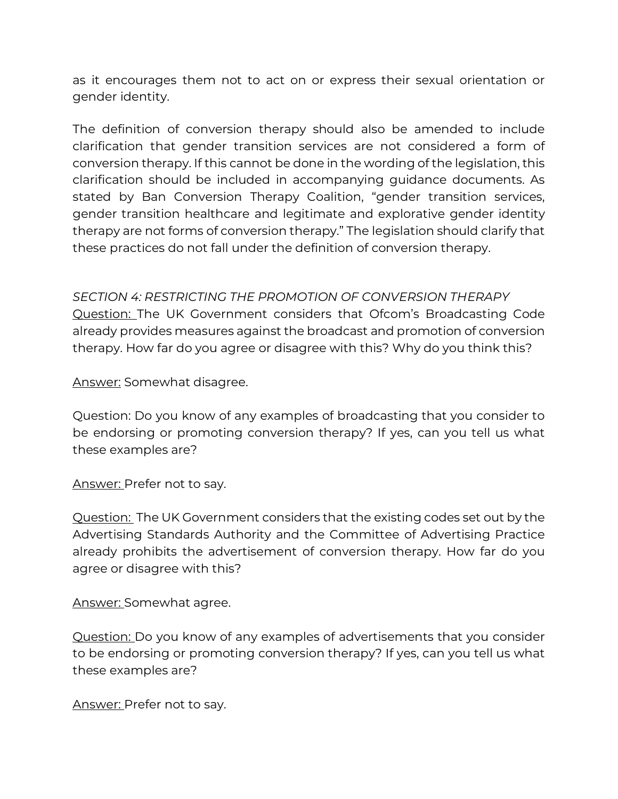as it encourages them not to act on or express their sexual orientation or gender identity.

The definition of conversion therapy should also be amended to include clarification that gender transition services are not considered a form of conversion therapy. If this cannot be done in the wording of the legislation, this clarification should be included in accompanying guidance documents. As stated by Ban Conversion Therapy Coalition, "gender transition services, gender transition healthcare and legitimate and explorative gender identity therapy are not forms of conversion therapy." The legislation should clarify that these practices do not fall under the definition of conversion therapy.

*SECTION 4: RESTRICTING THE PROMOTION OF CONVERSION THERAPY* Question: The UK Government considers that Ofcom's Broadcasting Code already provides measures against the broadcast and promotion of conversion therapy. How far do you agree or disagree with this? Why do you think this?

Answer: Somewhat disagree.

Question: Do you know of any examples of broadcasting that you consider to be endorsing or promoting conversion therapy? If yes, can you tell us what these examples are?

Answer: Prefer not to say.

Question: The UK Government considers that the existing codes set out by the Advertising Standards Authority and the Committee of Advertising Practice already prohibits the advertisement of conversion therapy. How far do you agree or disagree with this?

Answer: Somewhat agree.

Question: Do you know of any examples of advertisements that you consider to be endorsing or promoting conversion therapy? If yes, can you tell us what these examples are?

Answer: Prefer not to say.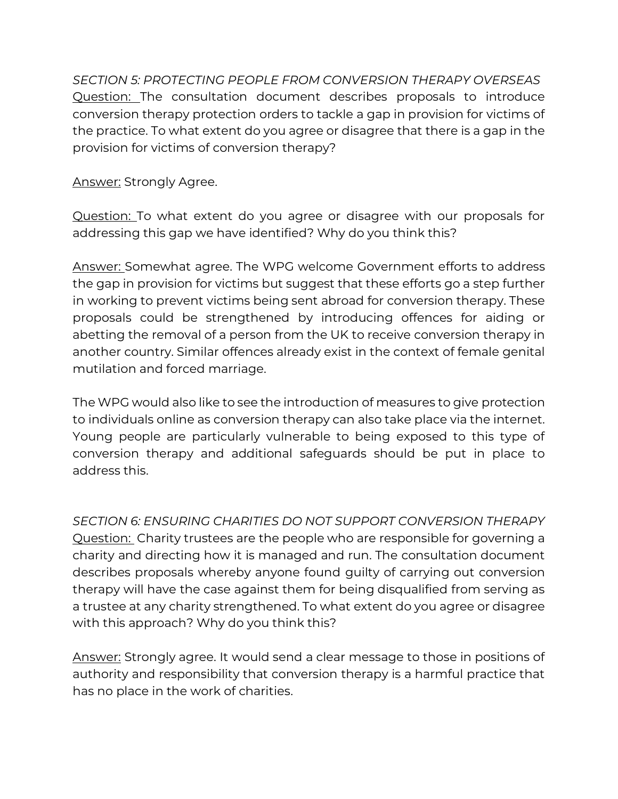*SECTION 5: PROTECTING PEOPLE FROM CONVERSION THERAPY OVERSEAS* Question: The consultation document describes proposals to introduce conversion therapy protection orders to tackle a gap in provision for victims of the practice. To what extent do you agree or disagree that there is a gap in the provision for victims of conversion therapy?

Answer: Strongly Agree.

Question: To what extent do you agree or disagree with our proposals for addressing this gap we have identified? Why do you think this?

Answer: Somewhat agree. The WPG welcome Government efforts to address the gap in provision for victims but suggest that these efforts go a step further in working to prevent victims being sent abroad for conversion therapy. These proposals could be strengthened by introducing offences for aiding or abetting the removal of a person from the UK to receive conversion therapy in another country. Similar offences already exist in the context of female genital mutilation and forced marriage.

The WPG would also like to see the introduction of measures to give protection to individuals online as conversion therapy can also take place via the internet. Young people are particularly vulnerable to being exposed to this type of conversion therapy and additional safeguards should be put in place to address this.

*SECTION 6: ENSURING CHARITIES DO NOT SUPPORT CONVERSION THERAPY* Question: Charity trustees are the people who are responsible for governing a charity and directing how it is managed and run. The consultation document describes proposals whereby anyone found guilty of carrying out conversion therapy will have the case against them for being disqualified from serving as a trustee at any charity strengthened. To what extent do you agree or disagree with this approach? Why do you think this?

Answer: Strongly agree. It would send a clear message to those in positions of authority and responsibility that conversion therapy is a harmful practice that has no place in the work of charities.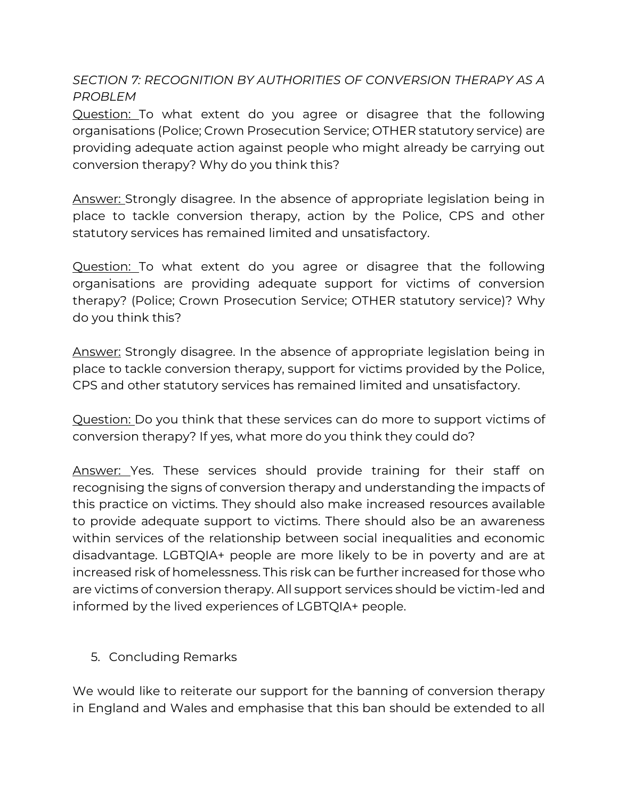## *SECTION 7: RECOGNITION BY AUTHORITIES OF CONVERSION THERAPY AS A PROBLEM*

Question: To what extent do you agree or disagree that the following organisations (Police; Crown Prosecution Service; OTHER statutory service) are providing adequate action against people who might already be carrying out conversion therapy? Why do you think this?

Answer: Strongly disagree. In the absence of appropriate legislation being in place to tackle conversion therapy, action by the Police, CPS and other statutory services has remained limited and unsatisfactory.

Question: To what extent do you agree or disagree that the following organisations are providing adequate support for victims of conversion therapy? (Police; Crown Prosecution Service; OTHER statutory service)? Why do you think this?

Answer: Strongly disagree. In the absence of appropriate legislation being in place to tackle conversion therapy, support for victims provided by the Police, CPS and other statutory services has remained limited and unsatisfactory.

Question: Do you think that these services can do more to support victims of conversion therapy? If yes, what more do you think they could do?

Answer: Yes. These services should provide training for their staff on recognising the signs of conversion therapy and understanding the impacts of this practice on victims. They should also make increased resources available to provide adequate support to victims. There should also be an awareness within services of the relationship between social inequalities and economic disadvantage. LGBTQIA+ people are more likely to be in poverty and are at increased risk of homelessness. This risk can be further increased for those who are victims of conversion therapy. All support services should be victim-led and informed by the lived experiences of LGBTQIA+ people.

#### 5. Concluding Remarks

We would like to reiterate our support for the banning of conversion therapy in England and Wales and emphasise that this ban should be extended to all